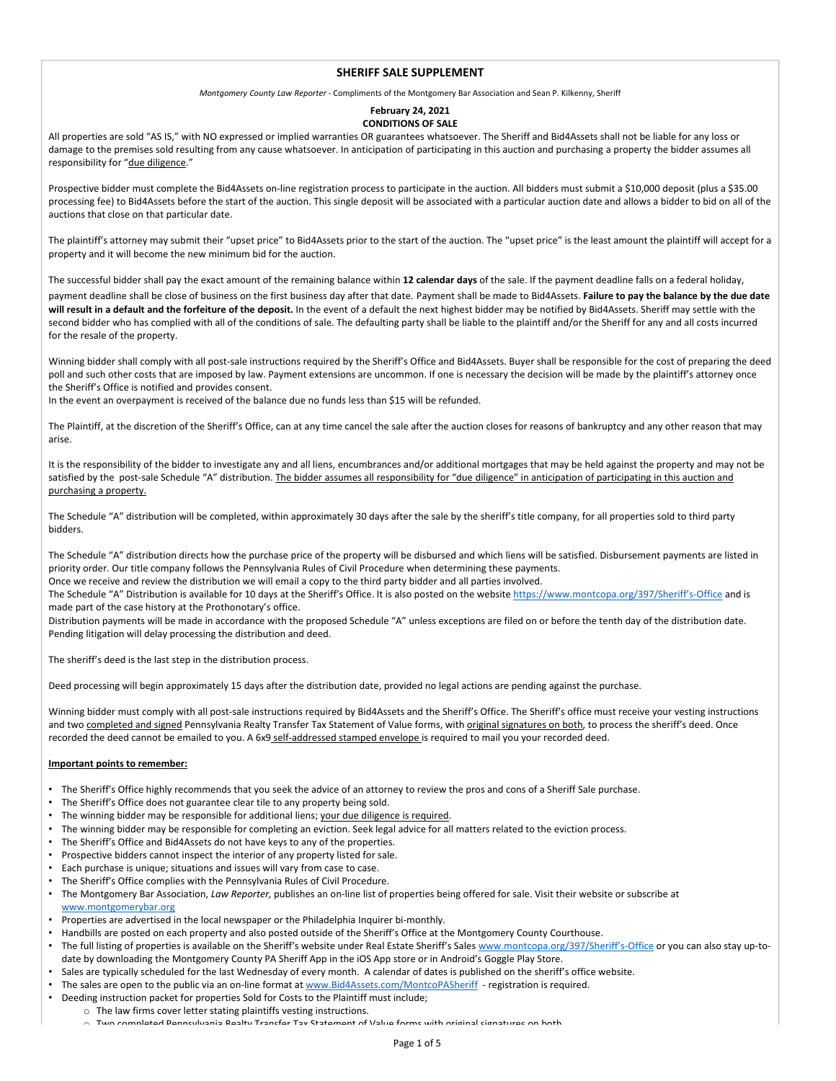## **SHERIFF SALE SUPPLEMENT**

*Montgomery County Law Reporter ‐* Compliments of the Montgomery Bar Association and Sean P. Kilkenny, Sheriff

## **February 24, 2021 CONDITIONS OF SALE**

All properties are sold "AS IS," with NO expressed or implied warranties OR guarantees whatsoever. The Sheriff and Bid4Assets shall not be liable for any loss or damage to the premises sold resulting from any cause whatsoever. In anticipation of participating in this auction and purchasing a property the bidder assumes all responsibility for "due diligence."

Prospective bidder must complete the Bid4Assets on‐line registration process to participate in the auction. All bidders must submit a \$10,000 deposit (plus a \$35.00 processing fee) to Bid4Assets before the start of the auction. This single deposit will be associated with a particular auction date and allows a bidder to bid on all of the auctions that close on that particular date.

The plaintiff's attorney may submit their "upset price" to Bid4Assets prior to the start of the auction. The "upset price" is the least amount the plaintiff will accept for a property and it will become the new minimum bid for the auction.

The successful bidder shall pay the exact amount of the remaining balance within **12 calendar days** of the sale. If the payment deadline falls on a federal holiday, payment deadline shall be close of business on the first business day after that date. Payment shall be made to Bid4Assets. Failure to pay the balance by the due date will result in a default and the forfeiture of the deposit. In the event of a default the next highest bidder may be notified by Bid4Assets. Sheriff may settle with the second bidder who has complied with all of the conditions of sale. The defaulting party shall be liable to the plaintiff and/or the Sheriff for any and all costs incurred for the resale of the property.

Winning bidder shall comply with all post‐sale instructions required by the Sheriff's Office and Bid4Assets. Buyer shall be responsible for the cost of preparing the deed poll and such other costs that are imposed by law. Payment extensions are uncommon. If one is necessary the decision will be made by the plaintiff's attorney once the Sheriff's Office is notified and provides consent.

In the event an overpayment is received of the balance due no funds less than \$15 will be refunded.

The Plaintiff, at the discretion of the Sheriff's Office, can at any time cancel the sale after the auction closes for reasons of bankruptcy and any other reason that may arise.

It is the responsibility of the bidder to investigate any and all liens, encumbrances and/or additional mortgages that may be held against the property and may not be satisfied by the post-sale Schedule "A" distribution. The bidder assumes all responsibility for "due diligence" in anticipation of participating in this auction and purchasing a property.

The Schedule "A" distribution will be completed, within approximately 30 days after the sale by the sheriff's title company, for all properties sold to third party bidders.

The Schedule "A" distribution directs how the purchase price of the property will be disbursed and which liens will be satisfied. Disbursement payments are listed in priority order. Our title company follows the Pennsylvania Rules of Civil Procedure when determining these payments.

Once we receive and review the distribution we will email a copy to the third party bidder and all parties involved. The Schedule "A" Distribution is available for 10 days at the Sheriff's Office. It is also posted on the website https://www.montcopa.org/397/Sheriff's-Office and is made part of the case history at the Prothonotary's office.

Distribution payments will be made in accordance with the proposed Schedule "A" unless exceptions are filed on or before the tenth day of the distribution date. Pending litigation will delay processing the distribution and deed.

The sheriff's deed is the last step in the distribution process.

Deed processing will begin approximately 15 days after the distribution date, provided no legal actions are pending against the purchase.

Winning bidder must comply with all post-sale instructions required by Bid4Assets and the Sheriff's Office. The Sheriff's office must receive your vesting instructions and two completed and signed Pennsylvania Realty Transfer Tax Statement of Value forms, with original signatures on both, to process the sheriff's deed. Once recorded the deed cannot be emailed to you. A 6x9 self-addressed stamped envelope is required to mail you your recorded deed.

## **Important points to remember:**

- The Sheriff's Office highly recommends that you seek the advice of an attorney to review the pros and cons of a Sheriff Sale purchase.
- The Sheriff's Office does not guarantee clear tile to any property being sold.
- The winning bidder may be responsible for additional liens; your due diligence is required.
- The winning bidder may be responsible for completing an eviction. Seek legal advice for all matters related to the eviction process.
- The Sheriff's Office and Bid4Assets do not have keys to any of the properties.
- Prospective bidders cannot inspect the interior of any property listed for sale.
- Each purchase is unique; situations and issues will vary from case to case.
- The Sheriff's Office complies with the Pennsylvania Rules of Civil Procedure.
- The Montgomery Bar Association, *Law Reporter,* publishes an on‐line list of properties being offered for sale. Visit their website or subscribe at www.montgomerybar.org
- Properties are advertised in the local newspaper or the Philadelphia Inquirer bi-monthly.
- Handbills are posted on each property and also posted outside of the Sheriff's Office at the Montgomery County Courthouse.
- The full listing of properties is available on the Sheriff's website under Real Estate Sheriff's Sales www.montcopa.org/397/Sheriff's-Office or you can also stay up-todate by downloading the Montgomery County PA Sheriff App in the iOS App store or in Android's Goggle Play Store.
- Sales are typically scheduled for the last Wednesday of every month. A calendar of dates is published on the sheriff's office website.
- The sales are open to the public via an on-line format at www.Bid4Assets.com/MontcoPASheriff registration is required.
- Deeding instruction packet for properties Sold for Costs to the Plaintiff must include;
	- o The law firms cover letter stating plaintiffs vesting instructions.<br>
	a Two completed Bennsylvania Boalty Transfor Tax Statement of
		- of the Two completed areal Completed Pennsylvania Architecture Completed by Transfer Completed States on the Va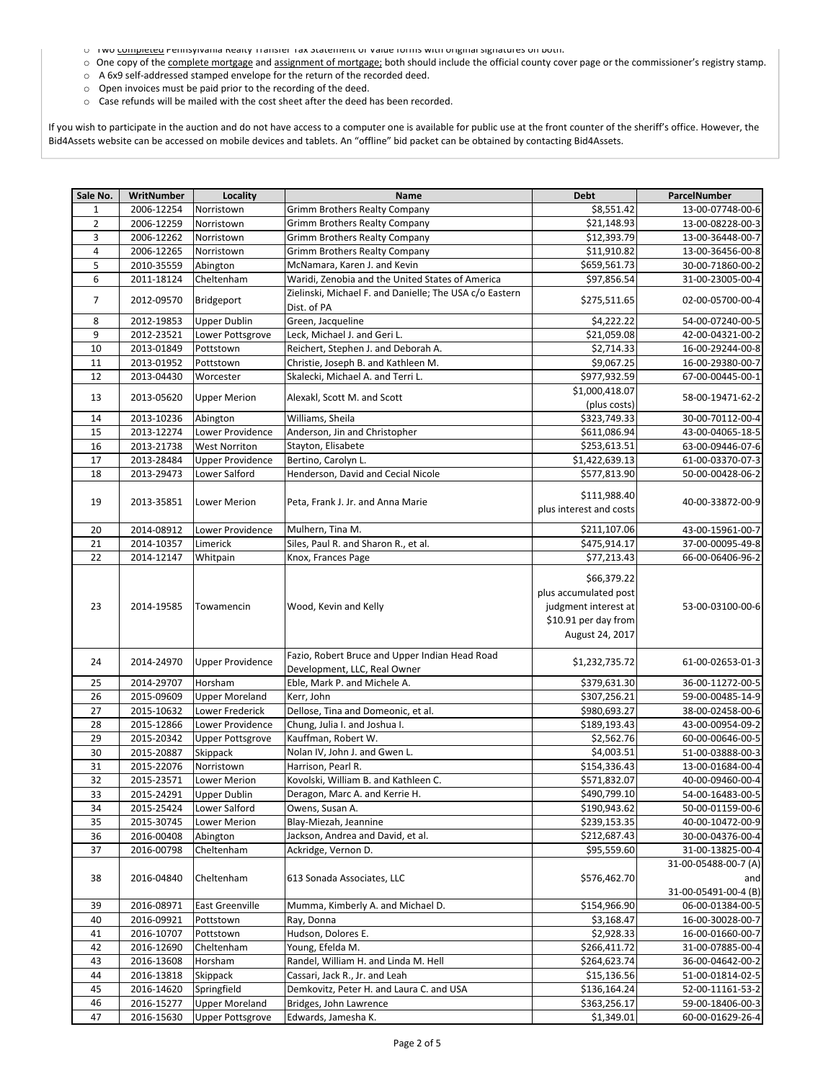- o Two completed Pennsylvania Realty Transfer Tax Statement or Value forms with original signatures on both.
- o One copy of the complete mortgage and assignment of mortgage; both should include the official county cover page or the commissioner's registry stamp.
- o A 6x9 self‐addressed stamped envelope for the return of the recorded deed.
- o Open invoices must be paid prior to the recording of the deed.
- o Case refunds will be mailed with the cost sheet after the deed has been recorded.

If you wish to participate in the auction and do not have access to a computer one is available for public use at the front counter of the sheriff's office. However, the Bid4Assets website can be accessed on mobile devices and tablets. An "offline" bid packet can be obtained by contacting Bid4Assets.

| Sale No. | WritNumber | Locality                | Name                                                                           | <b>Debt</b>                                                                                             | ParcelNumber                                        |
|----------|------------|-------------------------|--------------------------------------------------------------------------------|---------------------------------------------------------------------------------------------------------|-----------------------------------------------------|
| 1        | 2006-12254 | Norristown              | Grimm Brothers Realty Company                                                  | \$8,551.42                                                                                              | 13-00-07748-00-6                                    |
| 2        | 2006-12259 | Norristown              | <b>Grimm Brothers Realty Company</b>                                           | \$21,148.93                                                                                             | 13-00-08228-00-3                                    |
| 3        | 2006-12262 | Norristown              | <b>Grimm Brothers Realty Company</b>                                           | \$12,393.79                                                                                             | 13-00-36448-00-7                                    |
| 4        | 2006-12265 | Norristown              | Grimm Brothers Realty Company                                                  | \$11,910.82                                                                                             | 13-00-36456-00-8                                    |
| 5        | 2010-35559 | Abington                | McNamara, Karen J. and Kevin                                                   | \$659,561.73                                                                                            | 30-00-71860-00-2                                    |
| 6        | 2011-18124 | Cheltenham              | Waridi, Zenobia and the United States of America                               | \$97,856.54                                                                                             | 31-00-23005-00-4                                    |
| 7        | 2012-09570 | Bridgeport              | Zielinski, Michael F. and Danielle; The USA c/o Eastern<br>Dist. of PA         | \$275,511.65                                                                                            | 02-00-05700-00-4                                    |
| 8        | 2012-19853 | <b>Upper Dublin</b>     | Green, Jacqueline                                                              | \$4,222.22                                                                                              | 54-00-07240-00-5                                    |
| 9        | 2012-23521 | Lower Pottsgrove        | Leck, Michael J. and Geri L.                                                   | \$21,059.08                                                                                             | 42-00-04321-00-2                                    |
| 10       | 2013-01849 | Pottstown               | Reichert, Stephen J. and Deborah A.                                            | \$2,714.33                                                                                              | 16-00-29244-00-8                                    |
| 11       | 2013-01952 | Pottstown               | Christie, Joseph B. and Kathleen M.                                            | \$9,067.25                                                                                              | 16-00-29380-00-7                                    |
| 12       | 2013-04430 | Worcester               | Skalecki, Michael A. and Terri L.                                              | \$977,932.59                                                                                            | 67-00-00445-00-1                                    |
| 13       | 2013-05620 | <b>Upper Merion</b>     | Alexakl, Scott M. and Scott                                                    | \$1,000,418.07<br>(plus costs)                                                                          | 58-00-19471-62-2                                    |
| 14       | 2013-10236 | Abington                | Williams, Sheila                                                               | \$323,749.33                                                                                            | 30-00-70112-00-4                                    |
| 15       | 2013-12274 | Lower Providence        | Anderson, Jin and Christopher                                                  | \$611,086.94                                                                                            | 43-00-04065-18-5                                    |
| 16       | 2013-21738 | <b>West Norriton</b>    | Stayton, Elisabete                                                             | \$253,613.51                                                                                            | 63-00-09446-07-6                                    |
| 17       | 2013-28484 | <b>Upper Providence</b> | Bertino, Carolyn L.                                                            | \$1,422,639.13                                                                                          | 61-00-03370-07-3                                    |
| 18       | 2013-29473 | Lower Salford           | Henderson, David and Cecial Nicole                                             | \$577,813.90                                                                                            | 50-00-00428-06-2                                    |
| 19       | 2013-35851 | Lower Merion            | Peta, Frank J. Jr. and Anna Marie                                              | \$111,988.40<br>plus interest and costs                                                                 | 40-00-33872-00-9                                    |
| 20       | 2014-08912 | Lower Providence        | Mulhern, Tina M.                                                               | \$211,107.06                                                                                            | 43-00-15961-00-7                                    |
| 21       | 2014-10357 | Limerick                | Siles, Paul R. and Sharon R., et al.                                           | \$475,914.17                                                                                            | 37-00-00095-49-8                                    |
| 22       | 2014-12147 | Whitpain                | Knox, Frances Page                                                             | \$77,213.43                                                                                             | 66-00-06406-96-2                                    |
| 23       | 2014-19585 | Towamencin              | Wood, Kevin and Kelly                                                          | \$66,379.22<br>plus accumulated post<br>judgment interest at<br>\$10.91 per day from<br>August 24, 2017 | 53-00-03100-00-6                                    |
| 24       | 2014-24970 | <b>Upper Providence</b> | Fazio, Robert Bruce and Upper Indian Head Road<br>Development, LLC, Real Owner | \$1,232,735.72                                                                                          | 61-00-02653-01-3                                    |
| 25       | 2014-29707 | Horsham                 | Eble, Mark P. and Michele A.                                                   | \$379,631.30                                                                                            | 36-00-11272-00-5                                    |
| 26       | 2015-09609 | <b>Upper Moreland</b>   | Kerr, John                                                                     | \$307,256.21                                                                                            | 59-00-00485-14-9                                    |
| 27       | 2015-10632 | Lower Frederick         | Dellose, Tina and Domeonic, et al.                                             | \$980,693.27                                                                                            | 38-00-02458-00-6                                    |
| 28       | 2015-12866 | Lower Providence        | Chung, Julia I. and Joshua I.                                                  | \$189,193.43                                                                                            | 43-00-00954-09-2                                    |
| 29       | 2015-20342 | Upper Pottsgrove        | Kauffman, Robert W.                                                            | \$2,562.76                                                                                              | 60-00-00646-00-5                                    |
| 30       | 2015-20887 | Skippack                | Nolan IV, John J. and Gwen L.                                                  | \$4,003.51                                                                                              | 51-00-03888-00-3                                    |
| 31       | 2015-22076 | Norristown              | Harrison, Pearl R.                                                             | \$154,336.43                                                                                            | 13-00-01684-00-4                                    |
| 32       | 2015-23571 | Lower Merion            | Kovolski, William B. and Kathleen C.                                           | \$571,832.07                                                                                            | 40-00-09460-00-4                                    |
| 33       | 2015-24291 | <b>Upper Dublin</b>     | Deragon, Marc A. and Kerrie H.                                                 | \$490,799.10                                                                                            | 54-00-16483-00-5                                    |
| 34       | 2015-25424 | Lower Salford           | Owens, Susan A.                                                                | \$190,943.62                                                                                            | 50-00-01159-00-6                                    |
| 35       | 2015-30745 | Lower Merion            | Blay-Miezah, Jeannine                                                          | \$239,153.35                                                                                            | 40-00-10472-00-9                                    |
| 36       | 2016-00408 | Abington                | Jackson, Andrea and David, et al.                                              | \$212,687.43                                                                                            | 30-00-04376-00-4                                    |
| 37       | 2016-00798 | Cheltenham              | Ackridge, Vernon D.                                                            | \$95,559.60                                                                                             | 31-00-13825-00-4                                    |
| 38       | 2016-04840 | Cheltenham              | 613 Sonada Associates, LLC                                                     | \$576,462.70                                                                                            | 31-00-05488-00-7 (A)<br>and<br>31-00-05491-00-4 (B) |
| 39       | 2016-08971 | East Greenville         | Mumma, Kimberly A. and Michael D.                                              | \$154,966.90                                                                                            | 06-00-01384-00-5                                    |
| 40       | 2016-09921 | Pottstown               | Ray, Donna                                                                     | \$3,168.47                                                                                              | 16-00-30028-00-7                                    |
| 41       | 2016-10707 | Pottstown               | Hudson, Dolores E.                                                             | \$2,928.33                                                                                              | 16-00-01660-00-7                                    |
| 42       | 2016-12690 | Cheltenham              | Young, Efelda M.                                                               | \$266,411.72                                                                                            | 31-00-07885-00-4                                    |
| 43       | 2016-13608 | Horsham                 | Randel, William H. and Linda M. Hell                                           | \$264,623.74                                                                                            | 36-00-04642-00-2                                    |
| 44       | 2016-13818 | Skippack                | Cassari, Jack R., Jr. and Leah                                                 | \$15,136.56                                                                                             | 51-00-01814-02-5                                    |
| 45       | 2016-14620 | Springfield             | Demkovitz, Peter H. and Laura C. and USA                                       | \$136,164.24                                                                                            | 52-00-11161-53-2                                    |
| 46       | 2016-15277 | <b>Upper Moreland</b>   | Bridges, John Lawrence                                                         | \$363,256.17                                                                                            | 59-00-18406-00-3                                    |
| 47       | 2016-15630 | <b>Upper Pottsgrove</b> | Edwards, Jamesha K.                                                            | \$1,349.01                                                                                              | 60-00-01629-26-4                                    |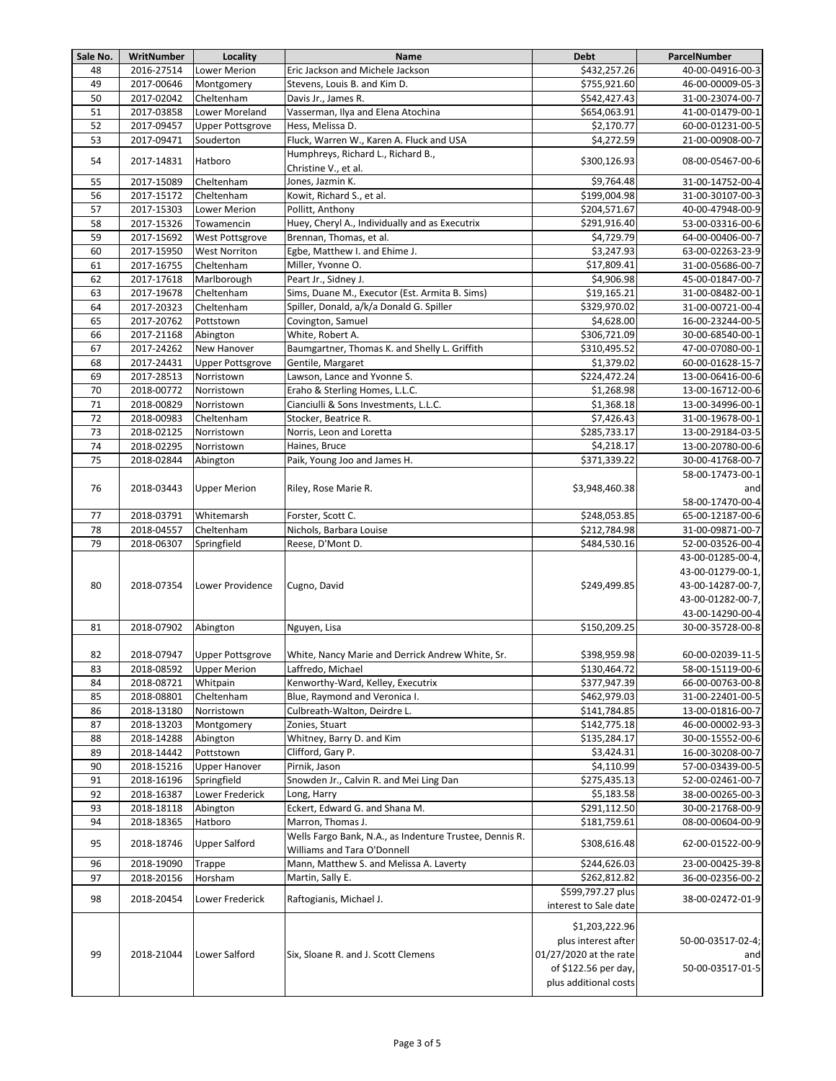| Sale No. | WritNumber | Locality                | Name                                                    | <b>Debt</b>            | ParcelNumber      |
|----------|------------|-------------------------|---------------------------------------------------------|------------------------|-------------------|
| 48       | 2016-27514 | <b>Lower Merion</b>     | Eric Jackson and Michele Jackson                        | \$432,257.26           | 40-00-04916-00-3  |
| 49       | 2017-00646 | Montgomery              | Stevens, Louis B. and Kim D.                            | \$755,921.60           | 46-00-00009-05-3  |
| 50       | 2017-02042 | Cheltenham              | Davis Jr., James R.                                     | \$542,427.43           | 31-00-23074-00-7  |
| 51       | 2017-03858 | Lower Moreland          | Vasserman, Ilya and Elena Atochina                      | \$654,063.91           | 41-00-01479-00-1  |
| 52       | 2017-09457 | <b>Upper Pottsgrove</b> | Hess, Melissa D.                                        | \$2,170.77             | 60-00-01231-00-5  |
| 53       | 2017-09471 | Souderton               | Fluck, Warren W., Karen A. Fluck and USA                | \$4,272.59             | 21-00-00908-00-7  |
|          |            |                         | Humphreys, Richard L., Richard B.,                      |                        |                   |
| 54       | 2017-14831 | Hatboro                 | Christine V., et al.                                    | \$300,126.93           | 08-00-05467-00-6  |
| 55       | 2017-15089 | Cheltenham              | Jones, Jazmin K.                                        | \$9,764.48             | 31-00-14752-00-4  |
| 56       | 2017-15172 | Cheltenham              | Kowit, Richard S., et al.                               | \$199,004.98           | 31-00-30107-00-3  |
| 57       | 2017-15303 | <b>Lower Merion</b>     | Pollitt, Anthony                                        | \$204,571.67           | 40-00-47948-00-9  |
| 58       | 2017-15326 | Towamencin              | Huey, Cheryl A., Individually and as Executrix          | \$291,916.40           | 53-00-03316-00-6  |
| 59       | 2017-15692 | West Pottsgrove         | Brennan, Thomas, et al.                                 | \$4,729.79             | 64-00-00406-00-7  |
| 60       | 2017-15950 | <b>West Norriton</b>    | Egbe, Matthew I. and Ehime J.                           | \$3,247.93             | 63-00-02263-23-9  |
| 61       | 2017-16755 | Cheltenham              | Miller, Yvonne O.                                       | \$17,809.41            | 31-00-05686-00-7  |
| 62       | 2017-17618 | Marlborough             | Peart Jr., Sidney J.                                    | \$4,906.98             | 45-00-01847-00-7  |
| 63       | 2017-19678 | Cheltenham              | Sims, Duane M., Executor (Est. Armita B. Sims)          | \$19,165.21            | 31-00-08482-00-1  |
| 64       | 2017-20323 |                         |                                                         | \$329,970.02           |                   |
|          |            | Cheltenham              | Spiller, Donald, a/k/a Donald G. Spiller                |                        | 31-00-00721-00-4  |
| 65       | 2017-20762 | Pottstown               | Covington, Samuel                                       | \$4,628.00             | 16-00-23244-00-5  |
| 66       | 2017-21168 | Abington                | White, Robert A.                                        | \$306,721.09           | 30-00-68540-00-1  |
| 67       | 2017-24262 | New Hanover             | Baumgartner, Thomas K. and Shelly L. Griffith           | \$310,495.52           | 47-00-07080-00-1  |
| 68       | 2017-24431 | <b>Upper Pottsgrove</b> | Gentile, Margaret                                       | \$1,379.02             | 60-00-01628-15-7  |
| 69       | 2017-28513 | Norristown              | Lawson, Lance and Yvonne S.                             | \$224,472.24           | 13-00-06416-00-6  |
| 70       | 2018-00772 | Norristown              | Eraho & Sterling Homes, L.L.C.                          | \$1,268.98             | 13-00-16712-00-6  |
| 71       | 2018-00829 | Norristown              | Cianciulli & Sons Investments, L.L.C.                   | \$1,368.18             | 13-00-34996-00-1  |
| 72       | 2018-00983 | Cheltenham              | Stocker, Beatrice R.                                    | \$7,426.43             | 31-00-19678-00-1  |
| 73       | 2018-02125 | Norristown              | Norris, Leon and Loretta                                | \$285,733.17           | 13-00-29184-03-5  |
| 74       | 2018-02295 | Norristown              | Haines, Bruce                                           | \$4,218.17             | 13-00-20780-00-6  |
| 75       | 2018-02844 | Abington                | Paik, Young Joo and James H.                            | \$371,339.22           | 30-00-41768-00-7  |
|          |            |                         |                                                         |                        | 58-00-17473-00-1  |
| 76       | 2018-03443 | <b>Upper Merion</b>     | Riley, Rose Marie R.                                    | \$3,948,460.38         | and               |
|          |            |                         |                                                         |                        |                   |
|          |            |                         |                                                         |                        | 58-00-17470-00-4  |
| 77       | 2018-03791 | Whitemarsh              | Forster, Scott C.                                       | \$248,053.85           | 65-00-12187-00-6  |
| 78       | 2018-04557 | Cheltenham              | Nichols, Barbara Louise                                 | \$212,784.98           | 31-00-09871-00-7  |
| 79       | 2018-06307 | Springfield             | Reese, D'Mont D.                                        | \$484,530.16           | 52-00-03526-00-4  |
|          |            |                         |                                                         |                        | 43-00-01285-00-4, |
|          |            |                         |                                                         |                        | 43-00-01279-00-1, |
| 80       | 2018-07354 | Lower Providence        | Cugno, David                                            | \$249,499.85           | 43-00-14287-00-7, |
|          |            |                         |                                                         |                        | 43-00-01282-00-7, |
|          |            |                         |                                                         |                        | 43-00-14290-00-4  |
| 81       | 2018-07902 | Abington                | Nguyen, Lisa                                            | \$150,209.25           | 30-00-35728-00-8  |
|          |            |                         |                                                         |                        |                   |
| 82       | 2018-07947 | <b>Upper Pottsgrove</b> | White, Nancy Marie and Derrick Andrew White, Sr.        | \$398,959.98           | 60-00-02039-11-5  |
| 83       | 2018-08592 | <b>Upper Merion</b>     | Laffredo, Michael                                       | \$130,464.72           | 58-00-15119-00-6  |
| 84       | 2018-08721 | Whitpain                | Kenworthy-Ward, Kelley, Executrix                       | \$377,947.39           | 66-00-00763-00-8  |
| 85       | 2018-08801 | Cheltenham              | Blue, Raymond and Veronica I.                           | \$462,979.03           | 31-00-22401-00-5  |
|          |            |                         | Culbreath-Walton, Deirdre L.                            |                        |                   |
| 86       | 2018-13180 | Norristown              |                                                         | \$141,784.85           | 13-00-01816-00-7  |
| 87       | 2018-13203 | Montgomery              | Zonies, Stuart                                          | \$142,775.18           | 46-00-00002-93-3  |
| 88       | 2018-14288 | Abington                | Whitney, Barry D. and Kim                               | \$135,284.17           | 30-00-15552-00-6  |
| 89       | 2018-14442 | Pottstown               | Clifford, Gary P.                                       | \$3,424.31             | 16-00-30208-00-7  |
| 90       | 2018-15216 | <b>Upper Hanover</b>    | Pirnik, Jason                                           | \$4,110.99             | 57-00-03439-00-5  |
| 91       | 2018-16196 | Springfield             | Snowden Jr., Calvin R. and Mei Ling Dan                 | \$275,435.13           | 52-00-02461-00-7  |
| 92       | 2018-16387 | Lower Frederick         | Long, Harry                                             | \$5,183.58             | 38-00-00265-00-3  |
| 93       | 2018-18118 | Abington                | Eckert, Edward G. and Shana M.                          | \$291,112.50           | 30-00-21768-00-9  |
| 94       | 2018-18365 | Hatboro                 | Marron, Thomas J.                                       | \$181,759.61           | 08-00-00604-00-9  |
|          |            |                         | Wells Fargo Bank, N.A., as Indenture Trustee, Dennis R. |                        |                   |
| 95       | 2018-18746 | <b>Upper Salford</b>    | Williams and Tara O'Donnell                             | \$308,616.48           | 62-00-01522-00-9  |
| 96       | 2018-19090 | Trappe                  | Mann, Matthew S. and Melissa A. Laverty                 | \$244,626.03           | 23-00-00425-39-8  |
| 97       | 2018-20156 | Horsham                 | Martin, Sally E.                                        | \$262,812.82           | 36-00-02356-00-2  |
|          |            |                         |                                                         | \$599,797.27 plus      |                   |
| 98       | 2018-20454 | Lower Frederick         | Raftogianis, Michael J.                                 | interest to Sale date  | 38-00-02472-01-9  |
|          |            |                         |                                                         |                        |                   |
|          |            |                         |                                                         | \$1,203,222.96         |                   |
|          |            |                         |                                                         | plus interest after    | 50-00-03517-02-4; |
| 99       | 2018-21044 | Lower Salford           | Six, Sloane R. and J. Scott Clemens                     | 01/27/2020 at the rate | and               |
|          |            |                         |                                                         | of \$122.56 per day,   | 50-00-03517-01-5  |
|          |            |                         |                                                         | plus additional costs  |                   |
|          |            |                         |                                                         |                        |                   |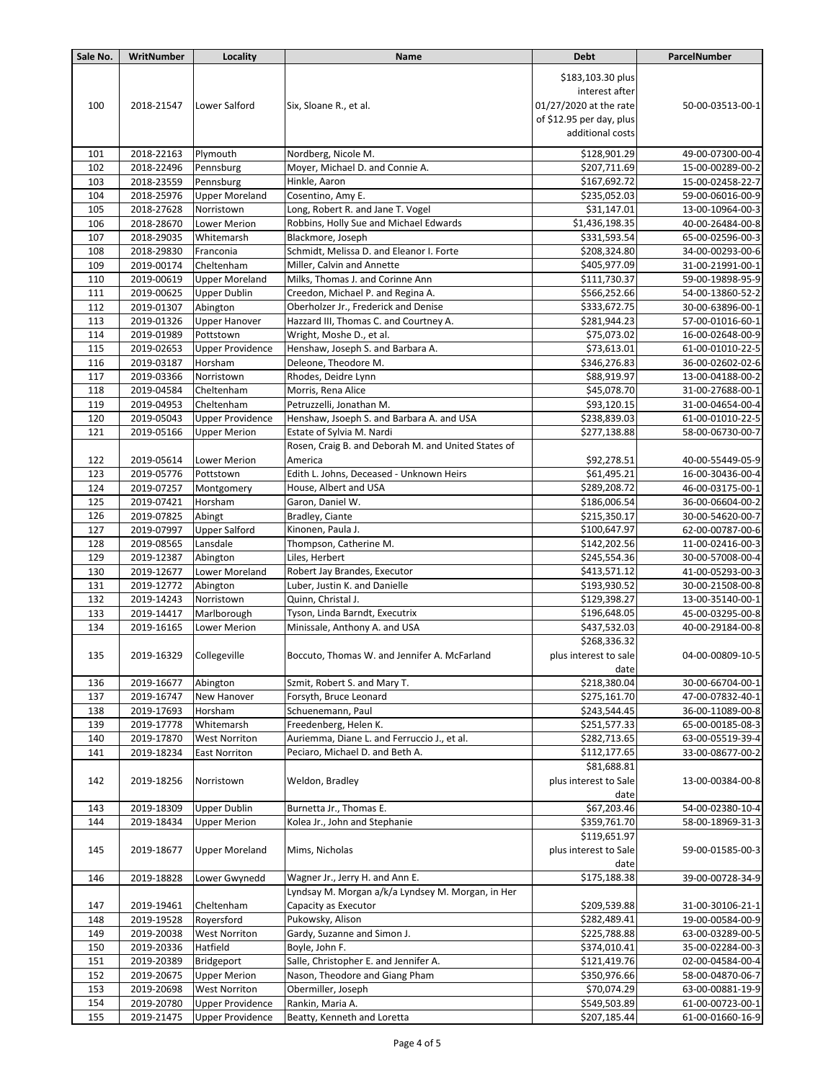| Sale No.   | WritNumber               | Locality                           | Name                                                                      | <b>Debt</b>                                                                                                   | ParcelNumber                         |
|------------|--------------------------|------------------------------------|---------------------------------------------------------------------------|---------------------------------------------------------------------------------------------------------------|--------------------------------------|
| 100        | 2018-21547               | Lower Salford                      | Six, Sloane R., et al.                                                    | \$183,103.30 plus<br>interest after<br>01/27/2020 at the rate<br>of \$12.95 per day, plus<br>additional costs | 50-00-03513-00-1                     |
| 101        | 2018-22163               | Plymouth                           | Nordberg, Nicole M.                                                       | \$128,901.29                                                                                                  | 49-00-07300-00-4                     |
| 102        | 2018-22496               | Pennsburg                          | Moyer, Michael D. and Connie A.                                           | \$207,711.69                                                                                                  | 15-00-00289-00-2                     |
| 103        | 2018-23559               | Pennsburg                          | Hinkle, Aaron                                                             | \$167,692.72                                                                                                  | 15-00-02458-22-7                     |
| 104        | 2018-25976               | <b>Upper Moreland</b>              | Cosentino, Amy E.                                                         | \$235,052.03                                                                                                  | 59-00-06016-00-9                     |
| 105        | 2018-27628               | Norristown                         | Long, Robert R. and Jane T. Vogel                                         | \$31,147.01                                                                                                   | 13-00-10964-00-3                     |
| 106        | 2018-28670               | Lower Merion                       | Robbins, Holly Sue and Michael Edwards                                    | \$1,436,198.35                                                                                                | 40-00-26484-00-8                     |
| 107        | 2018-29035               | Whitemarsh                         | Blackmore, Joseph                                                         | \$331,593.54                                                                                                  | 65-00-02596-00-3                     |
| 108        | 2018-29830               | Franconia                          | Schmidt, Melissa D. and Eleanor I. Forte                                  | \$208,324.80                                                                                                  | 34-00-00293-00-6                     |
| 109        | 2019-00174               | Cheltenham                         | Miller, Calvin and Annette                                                | \$405,977.09                                                                                                  | 31-00-21991-00-1                     |
| 110        | 2019-00619               | <b>Upper Moreland</b>              | Milks, Thomas J. and Corinne Ann                                          | \$111,730.37                                                                                                  | 59-00-19898-95-9                     |
| 111        | 2019-00625               | <b>Upper Dublin</b>                | Creedon, Michael P. and Regina A.                                         | \$566,252.66                                                                                                  | 54-00-13860-52-2                     |
| 112        | 2019-01307               | Abington                           | Oberholzer Jr., Frederick and Denise                                      | \$333,672.75                                                                                                  | 30-00-63896-00-1                     |
| 113        | 2019-01326               | <b>Upper Hanover</b>               | Hazzard III, Thomas C. and Courtney A.                                    | \$281,944.23                                                                                                  | 57-00-01016-60-1                     |
| 114        | 2019-01989               | Pottstown                          | Wright, Moshe D., et al.                                                  | \$75,073.02                                                                                                   | 16-00-02648-00-9                     |
| 115        | 2019-02653               | <b>Upper Providence</b>            | Henshaw, Joseph S. and Barbara A.                                         | \$73,613.01                                                                                                   | 61-00-01010-22-5                     |
| 116        | 2019-03187               | Horsham                            | Deleone, Theodore M.                                                      | \$346,276.83                                                                                                  | 36-00-02602-02-6                     |
| 117        | 2019-03366               | Norristown                         | Rhodes, Deidre Lynn                                                       | \$88,919.97                                                                                                   | 13-00-04188-00-2                     |
| 118        | 2019-04584               | Cheltenham                         | Morris, Rena Alice                                                        | \$45,078.70                                                                                                   | 31-00-27688-00-1                     |
| 119        | 2019-04953               | Cheltenham                         | Petruzzelli, Jonathan M.                                                  | \$93,120.15                                                                                                   | 31-00-04654-00-4                     |
| 120        | 2019-05043               | <b>Upper Providence</b>            | Henshaw, Jsoeph S. and Barbara A. and USA                                 | \$238,839.03                                                                                                  | 61-00-01010-22-5                     |
| 121        | 2019-05166               | <b>Upper Merion</b>                | Estate of Sylvia M. Nardi                                                 | \$277,138.88                                                                                                  | 58-00-06730-00-7                     |
|            |                          |                                    | Rosen, Craig B. and Deborah M. and United States of                       |                                                                                                               |                                      |
| 122<br>123 | 2019-05614<br>2019-05776 | <b>Lower Merion</b>                | America<br>Edith L. Johns, Deceased - Unknown Heirs                       | \$92,278.51<br>\$61,495.21                                                                                    | 40-00-55449-05-9<br>16-00-30436-00-4 |
| 124        | 2019-07257               | Pottstown                          | House, Albert and USA                                                     | \$289,208.72                                                                                                  |                                      |
| 125        | 2019-07421               | Montgomery<br>Horsham              | Garon, Daniel W.                                                          | \$186,006.54                                                                                                  | 46-00-03175-00-1                     |
| 126        | 2019-07825               | Abingt                             | Bradley, Ciante                                                           | \$215,350.17                                                                                                  | 36-00-06604-00-2<br>30-00-54620-00-7 |
| 127        | 2019-07997               | <b>Upper Salford</b>               | Kinonen, Paula J.                                                         | \$100,647.97                                                                                                  | 62-00-00787-00-6                     |
| 128        | 2019-08565               | Lansdale                           | Thompson, Catherine M.                                                    | \$142,202.56                                                                                                  | 11-00-02416-00-3                     |
| 129        | 2019-12387               | Abington                           | Liles, Herbert                                                            | \$245,554.36                                                                                                  | 30-00-57008-00-4                     |
| 130        | 2019-12677               | Lower Moreland                     | Robert Jay Brandes, Executor                                              | \$413,571.12                                                                                                  | 41-00-05293-00-3                     |
| 131        | 2019-12772               | Abington                           | Luber, Justin K. and Danielle                                             | \$193,930.52                                                                                                  | 30-00-21508-00-8                     |
| 132        | 2019-14243               | Norristown                         | Quinn, Christal J.                                                        | \$129,398.27                                                                                                  | 13-00-35140-00-1                     |
| 133        | 2019-14417               | Marlborough                        | Tyson, Linda Barndt, Executrix                                            | \$196,648.05                                                                                                  | 45-00-03295-00-8                     |
| 134        | 2019-16165               | Lower Merion                       | Minissale, Anthony A. and USA                                             | \$437,532.03                                                                                                  | 40-00-29184-00-8                     |
| 135        | 2019-16329               | Collegeville                       | Boccuto, Thomas W. and Jennifer A. McFarland                              | \$268,336.32<br>plus interest to sale<br>date                                                                 | 04-00-00809-10-5                     |
| 136        | 2019-16677               | Abington                           | Szmit, Robert S. and Mary T.                                              | \$218,380.04                                                                                                  | 30-00-66704-00-1                     |
| 137        | 2019-16747               | New Hanover                        | Forsyth, Bruce Leonard                                                    | \$275,161.70                                                                                                  | 47-00-07832-40-1                     |
| 138        | 2019-17693               | Horsham                            | Schuenemann, Paul                                                         | \$243,544.45                                                                                                  | 36-00-11089-00-8                     |
| 139        | 2019-17778               | Whitemarsh                         | Freedenberg, Helen K.                                                     | \$251,577.33                                                                                                  | 65-00-00185-08-3                     |
| 140        | 2019-17870               | <b>West Norriton</b>               | Auriemma, Diane L. and Ferruccio J., et al.                               | \$282,713.65                                                                                                  | 63-00-05519-39-4                     |
| 141<br>142 | 2019-18234<br>2019-18256 | <b>East Norriton</b><br>Norristown | Peciaro, Michael D. and Beth A.<br>Weldon, Bradley                        | \$112,177.65<br>\$81,688.81<br>plus interest to Sale<br>date                                                  | 33-00-08677-00-2<br>13-00-00384-00-8 |
| 143        | 2019-18309               | <b>Upper Dublin</b>                | Burnetta Jr., Thomas E.                                                   | \$67,203.46                                                                                                   | 54-00-02380-10-4                     |
| 144        | 2019-18434               | <b>Upper Merion</b>                | Kolea Jr., John and Stephanie                                             | \$359,761.70                                                                                                  | 58-00-18969-31-3                     |
| 145        | 2019-18677               | <b>Upper Moreland</b>              | Mims, Nicholas                                                            | \$119,651.97<br>plus interest to Sale<br>date                                                                 | 59-00-01585-00-3                     |
| 146        | 2019-18828               | Lower Gwynedd                      | Wagner Jr., Jerry H. and Ann E.                                           | \$175,188.38                                                                                                  | 39-00-00728-34-9                     |
| 147        | 2019-19461               | Cheltenham                         | Lyndsay M. Morgan a/k/a Lyndsey M. Morgan, in Her<br>Capacity as Executor | \$209,539.88                                                                                                  | 31-00-30106-21-1                     |
| 148        | 2019-19528               | Royersford                         | Pukowsky, Alison                                                          | \$282,489.41                                                                                                  | 19-00-00584-00-9                     |
| 149        | 2019-20038               | <b>West Norriton</b>               | Gardy, Suzanne and Simon J.                                               | \$225,788.88                                                                                                  | 63-00-03289-00-5                     |
| 150        | 2019-20336               | Hatfield                           | Boyle, John F.                                                            | \$374,010.41                                                                                                  | 35-00-02284-00-3                     |
| 151        | 2019-20389               | Bridgeport                         | Salle, Christopher E. and Jennifer A.                                     | \$121,419.76                                                                                                  | 02-00-04584-00-4                     |
| 152        | 2019-20675               | <b>Upper Merion</b>                | Nason, Theodore and Giang Pham                                            | \$350,976.66                                                                                                  | 58-00-04870-06-7                     |
| 153        | 2019-20698               | <b>West Norriton</b>               | Obermiller, Joseph                                                        | \$70,074.29                                                                                                   | 63-00-00881-19-9                     |
| 154        | 2019-20780               | <b>Upper Providence</b>            | Rankin, Maria A.                                                          | \$549,503.89                                                                                                  | 61-00-00723-00-1                     |
| 155        | 2019-21475               | <b>Upper Providence</b>            | Beatty, Kenneth and Loretta                                               | \$207,185.44                                                                                                  | 61-00-01660-16-9                     |